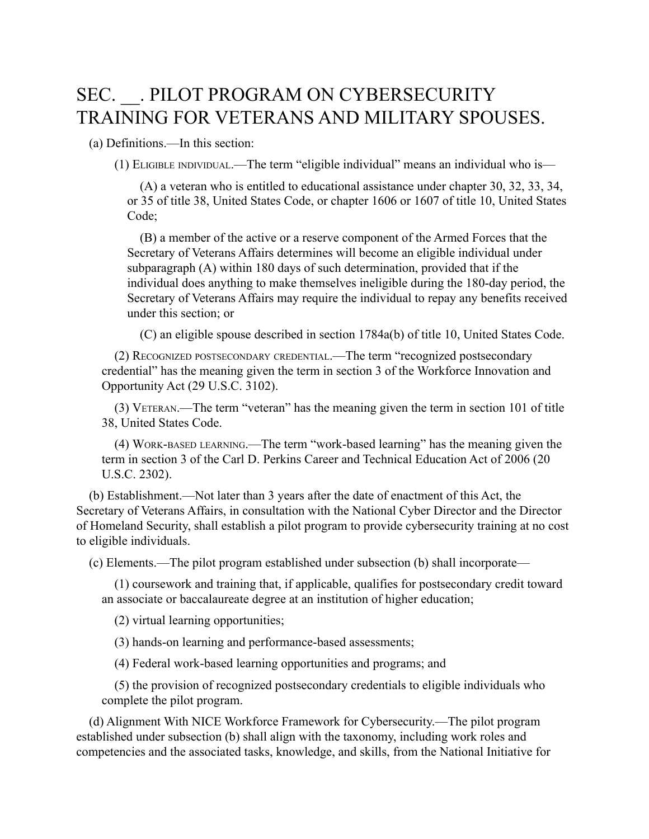## SEC. PILOT PROGRAM ON CYBERSECURITY TRAINING FOR VETERANS AND MILITARY SPOUSES.

(a) Definitions.—In this section:

(1) ELIGIBLE INDIVIDUAL.—The term "eligible individual" means an individual who is—

(A) a veteran who is entitled to educational assistance under chapter 30, 32, 33, 34, or 35 of title 38, United States Code, or chapter 1606 or 1607 of title 10, United States Code;

(B) a member of the active or a reserve component of the Armed Forces that the Secretary of Veterans Affairs determines will become an eligible individual under subparagraph (A) within 180 days of such determination, provided that if the individual does anything to make themselves ineligible during the 180-day period, the Secretary of Veterans Affairs may require the individual to repay any benefits received under this section; or

(C) an eligible spouse described in section 1784a(b) of title 10, United States Code.

(2) RECOGNIZED POSTSECONDARY CREDENTIAL.—The term "recognized postsecondary credential" has the meaning given the term in section 3 of the Workforce Innovation and Opportunity Act (29 U.S.C. 3102).

(3) VETERAN.—The term "veteran" has the meaning given the term in section 101 of title 38, United States Code.

(4) WORK-BASED LEARNING.—The term "work-based learning" has the meaning given the term in section 3 of the Carl D. Perkins Career and Technical Education Act of 2006 (20 U.S.C. 2302).

(b) Establishment.—Not later than 3 years after the date of enactment of this Act, the Secretary of Veterans Affairs, in consultation with the National Cyber Director and the Director of Homeland Security, shall establish a pilot program to provide cybersecurity training at no cost to eligible individuals.

(c) Elements.—The pilot program established under subsection (b) shall incorporate—

(1) coursework and training that, if applicable, qualifies for postsecondary credit toward an associate or baccalaureate degree at an institution of higher education;

(2) virtual learning opportunities;

(3) hands-on learning and performance-based assessments;

(4) Federal work-based learning opportunities and programs; and

(5) the provision of recognized postsecondary credentials to eligible individuals who complete the pilot program.

(d) Alignment With NICE Workforce Framework for Cybersecurity.—The pilot program established under subsection (b) shall align with the taxonomy, including work roles and competencies and the associated tasks, knowledge, and skills, from the National Initiative for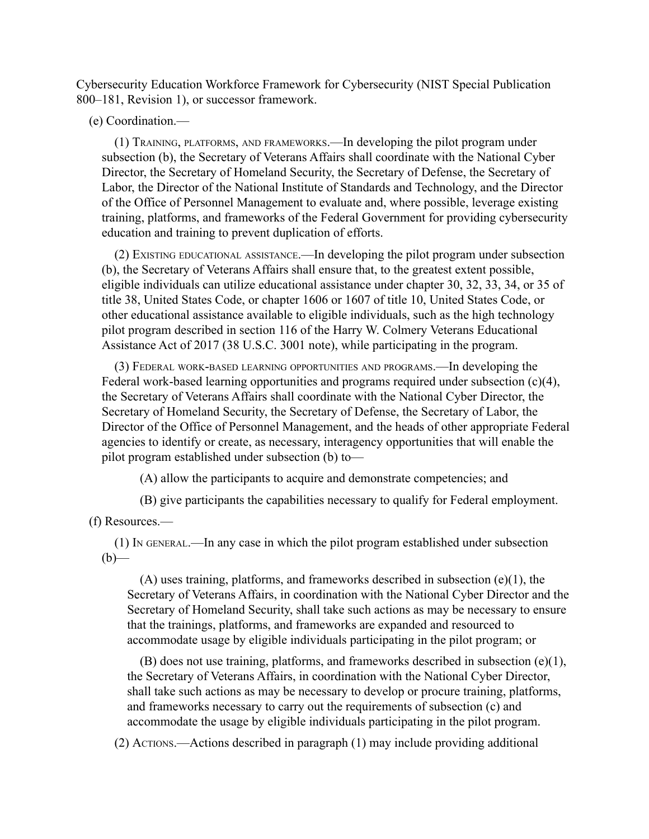Cybersecurity Education Workforce Framework for Cybersecurity (NIST Special Publication 800–181, Revision 1), or successor framework.

(e) Coordination.—

(1) TRAINING, PLATFORMS, AND FRAMEWORKS.—In developing the pilot program under subsection (b), the Secretary of Veterans Affairs shall coordinate with the National Cyber Director, the Secretary of Homeland Security, the Secretary of Defense, the Secretary of Labor, the Director of the National Institute of Standards and Technology, and the Director of the Office of Personnel Management to evaluate and, where possible, leverage existing training, platforms, and frameworks of the Federal Government for providing cybersecurity education and training to prevent duplication of efforts.

(2) EXISTING EDUCATIONAL ASSISTANCE.—In developing the pilot program under subsection (b), the Secretary of Veterans Affairs shall ensure that, to the greatest extent possible, eligible individuals can utilize educational assistance under chapter 30, 32, 33, 34, or 35 of title 38, United States Code, or chapter 1606 or 1607 of title 10, United States Code, or other educational assistance available to eligible individuals, such as the high technology pilot program described in section 116 of the Harry W. Colmery Veterans Educational Assistance Act of 2017 (38 U.S.C. 3001 note), while participating in the program.

(3) FEDERAL WORK-BASED LEARNING OPPORTUNITIES AND PROGRAMS.—In developing the Federal work-based learning opportunities and programs required under subsection (c)(4), the Secretary of Veterans Affairs shall coordinate with the National Cyber Director, the Secretary of Homeland Security, the Secretary of Defense, the Secretary of Labor, the Director of the Office of Personnel Management, and the heads of other appropriate Federal agencies to identify or create, as necessary, interagency opportunities that will enable the pilot program established under subsection (b) to—

(A) allow the participants to acquire and demonstrate competencies; and

(B) give participants the capabilities necessary to qualify for Federal employment.

(f) Resources.—

(1) IN GENERAL.—In any case in which the pilot program established under subsection  $(b)$ —

 $(A)$  uses training, platforms, and frameworks described in subsection (e)(1), the Secretary of Veterans Affairs, in coordination with the National Cyber Director and the Secretary of Homeland Security, shall take such actions as may be necessary to ensure that the trainings, platforms, and frameworks are expanded and resourced to accommodate usage by eligible individuals participating in the pilot program; or

(B) does not use training, platforms, and frameworks described in subsection (e)(1), the Secretary of Veterans Affairs, in coordination with the National Cyber Director, shall take such actions as may be necessary to develop or procure training, platforms, and frameworks necessary to carry out the requirements of subsection (c) and accommodate the usage by eligible individuals participating in the pilot program.

(2) ACTIONS.—Actions described in paragraph (1) may include providing additional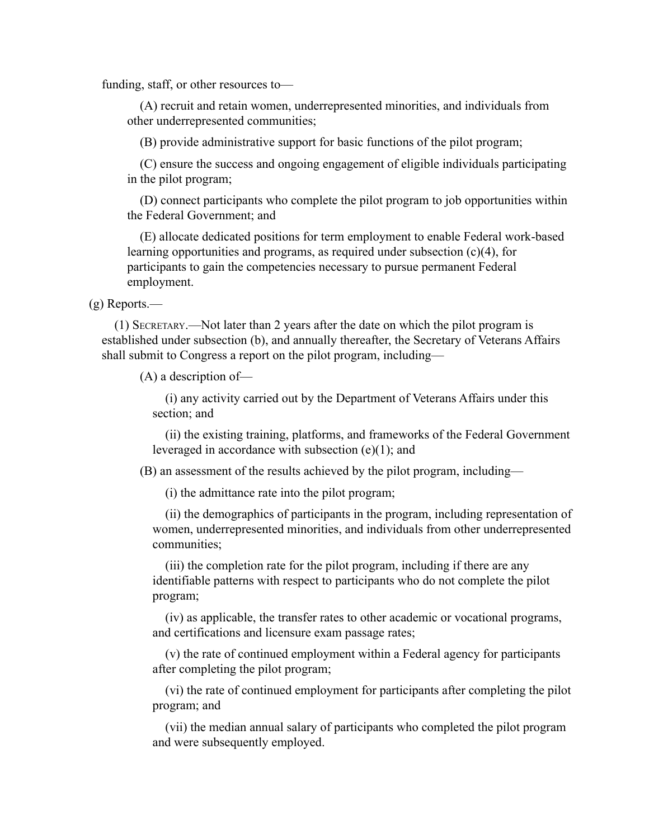funding, staff, or other resources to—

(A) recruit and retain women, underrepresented minorities, and individuals from other underrepresented communities;

(B) provide administrative support for basic functions of the pilot program;

(C) ensure the success and ongoing engagement of eligible individuals participating in the pilot program;

(D) connect participants who complete the pilot program to job opportunities within the Federal Government; and

(E) allocate dedicated positions for term employment to enable Federal work-based learning opportunities and programs, as required under subsection (c)(4), for participants to gain the competencies necessary to pursue permanent Federal employment.

(g) Reports.—

(1) SECRETARY.—Not later than 2 years after the date on which the pilot program is established under subsection (b), and annually thereafter, the Secretary of Veterans Affairs shall submit to Congress a report on the pilot program, including—

(A) a description of—

(i) any activity carried out by the Department of Veterans Affairs under this section; and

(ii) the existing training, platforms, and frameworks of the Federal Government leveraged in accordance with subsection (e)(1); and

(B) an assessment of the results achieved by the pilot program, including—

(i) the admittance rate into the pilot program;

(ii) the demographics of participants in the program, including representation of women, underrepresented minorities, and individuals from other underrepresented communities;

(iii) the completion rate for the pilot program, including if there are any identifiable patterns with respect to participants who do not complete the pilot program;

(iv) as applicable, the transfer rates to other academic or vocational programs, and certifications and licensure exam passage rates;

(v) the rate of continued employment within a Federal agency for participants after completing the pilot program;

(vi) the rate of continued employment for participants after completing the pilot program; and

(vii) the median annual salary of participants who completed the pilot program and were subsequently employed.